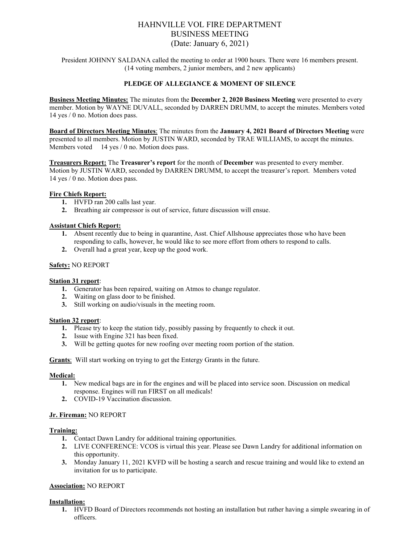# HAHNVILLE VOL FIRE DEPARTMENT BUSINESS MEETING (Date: January 6, 2021)

President JOHNNY SALDANA called the meeting to order at 1900 hours. There were 16 members present. (14 voting members, 2 junior members, and 2 new applicants)

### **PLEDGE OF ALLEGIANCE & MOMENT OF SILENCE**

**Business Meeting Minutes:** The minutes from the **December 2, 2020 Business Meeting** were presented to every member. Motion by WAYNE DUVALL, seconded by DARREN DRUMM, to accept the minutes. Members voted 14 yes / 0 no. Motion does pass.

**Board of Directors Meeting Minutes**: The minutes from the **January 4, 2021 Board of Directors Meeting** were presented to all members. Motion by JUSTIN WARD, seconded by TRAE WILLIAMS, to accept the minutes. Members voted 14 yes / 0 no. Motion does pass.

**Treasurers Report:** The **Treasurer's report** for the month of **December** was presented to every member. Motion by JUSTIN WARD, seconded by DARREN DRUMM, to accept the treasurer's report. Members voted 14 yes / 0 no. Motion does pass.

### **Fire Chiefs Report:**

- **1.** HVFD ran 200 calls last year.
- **2.** Breathing air compressor is out of service, future discussion will ensue.

### **Assistant Chiefs Report:**

- **1.** Absent recently due to being in quarantine, Asst. Chief Allshouse appreciates those who have been responding to calls, however, he would like to see more effort from others to respond to calls.
- **2.** Overall had a great year, keep up the good work.

### **Safety:** NO REPORT

### **Station 31 report**:

- **1.** Generator has been repaired, waiting on Atmos to change regulator.
- **2.** Waiting on glass door to be finished.
- **3.** Still working on audio/visuals in the meeting room.

### **Station 32 report**:

- **1.** Please try to keep the station tidy, possibly passing by frequently to check it out.
- **2.** Issue with Engine 321 has been fixed.
- **3.** Will be getting quotes for new roofing over meeting room portion of the station.

**Grants**: Will start working on trying to get the Entergy Grants in the future.

### **Medical:**

- **1.** New medical bags are in for the engines and will be placed into service soon. Discussion on medical response. Engines will run FIRST on all medicals!
- **2.** COVID-19 Vaccination discussion.

# **Jr. Fireman:** NO REPORT

### **Training:**

- **1.** Contact Dawn Landry for additional training opportunities.
- **2.** LIVE CONFERENCE: VCOS is virtual this year. Please see Dawn Landry for additional information on this opportunity.
- **3.** Monday January 11, 2021 KVFD will be hosting a search and rescue training and would like to extend an invitation for us to participate.

# **Association:** NO REPORT

# **Installation:**

**1.** HVFD Board of Directors recommends not hosting an installation but rather having a simple swearing in of officers.